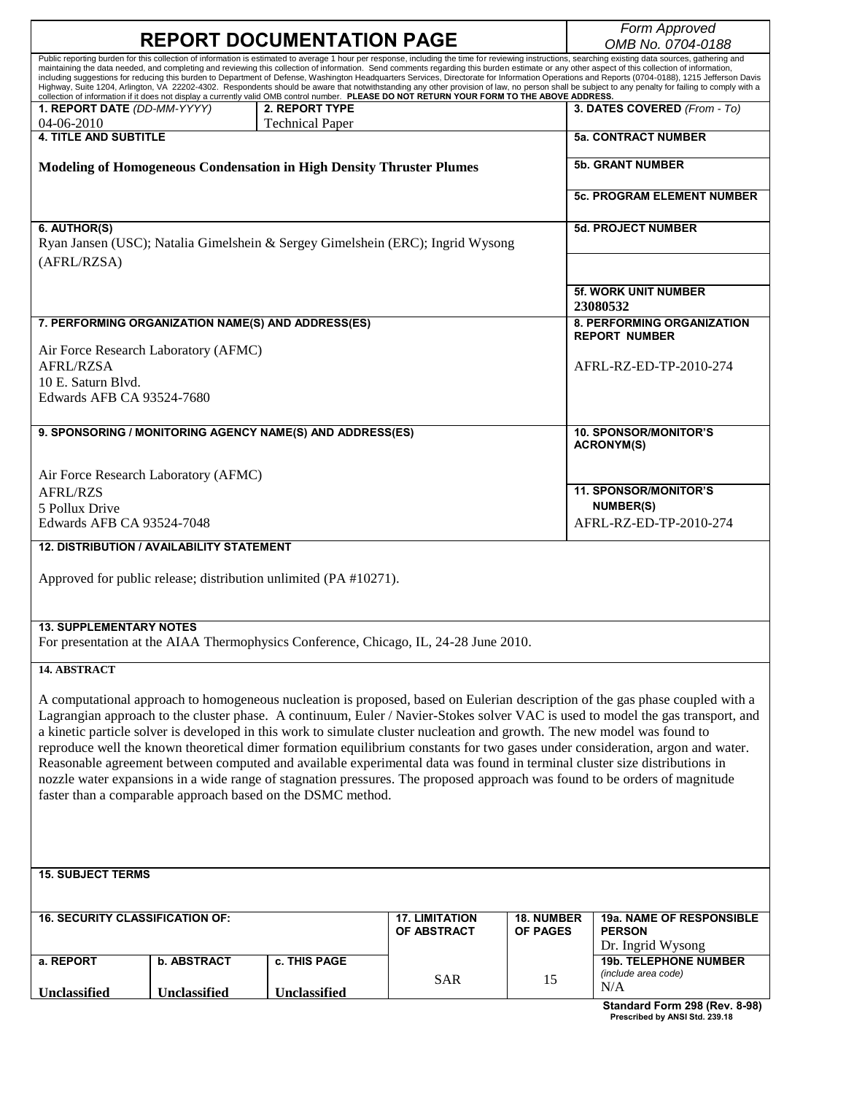| <b>REPORT DOCUMENTATION PAGE</b>                                                                                                                                                                                                                                                                                                                                                                                                                                                                                                                                                                                                                                                                                                                                                                                                                          |                                                    |                                                                                                                                             |                                      |                        | Form Approved                                                                                                                                                                                                                                                                                                                                                                                                                                                                                                                                                                                          |  |
|-----------------------------------------------------------------------------------------------------------------------------------------------------------------------------------------------------------------------------------------------------------------------------------------------------------------------------------------------------------------------------------------------------------------------------------------------------------------------------------------------------------------------------------------------------------------------------------------------------------------------------------------------------------------------------------------------------------------------------------------------------------------------------------------------------------------------------------------------------------|----------------------------------------------------|---------------------------------------------------------------------------------------------------------------------------------------------|--------------------------------------|------------------------|--------------------------------------------------------------------------------------------------------------------------------------------------------------------------------------------------------------------------------------------------------------------------------------------------------------------------------------------------------------------------------------------------------------------------------------------------------------------------------------------------------------------------------------------------------------------------------------------------------|--|
|                                                                                                                                                                                                                                                                                                                                                                                                                                                                                                                                                                                                                                                                                                                                                                                                                                                           |                                                    |                                                                                                                                             |                                      |                        | OMB No. 0704-0188<br>Public reporting burden for this collection of information is estimated to average 1 hour per response, including the time for reviewing instructions, searching existing data sources, gathering and                                                                                                                                                                                                                                                                                                                                                                             |  |
|                                                                                                                                                                                                                                                                                                                                                                                                                                                                                                                                                                                                                                                                                                                                                                                                                                                           |                                                    | collection of information if it does not display a currently valid OMB control number. PLEASE DO NOT RETURN YOUR FORM TO THE ABOVE ADDRESS. |                                      |                        | maintaining the data needed, and completing and reviewing this collection of information. Send comments regarding this burden estimate or any other aspect of this collection of information,<br>including suggestions for reducing this burden to Department of Defense, Washington Headquarters Services, Directorate for Information Operations and Reports (0704-0188), 1215 Jefferson Davis<br>Highway, Suite 1204, Arlington, VA 22202-4302. Respondents should be aware that notwithstanding any other provision of law, no person shall be subject to any penalty for failing to comply with a |  |
| 1. REPORT DATE (DD-MM-YYYY)<br>04-06-2010                                                                                                                                                                                                                                                                                                                                                                                                                                                                                                                                                                                                                                                                                                                                                                                                                 |                                                    | 2. REPORT TYPE<br><b>Technical Paper</b>                                                                                                    |                                      |                        | 3. DATES COVERED (From - To)                                                                                                                                                                                                                                                                                                                                                                                                                                                                                                                                                                           |  |
| <b>4. TITLE AND SUBTITLE</b>                                                                                                                                                                                                                                                                                                                                                                                                                                                                                                                                                                                                                                                                                                                                                                                                                              |                                                    |                                                                                                                                             |                                      |                        | <b>5a. CONTRACT NUMBER</b>                                                                                                                                                                                                                                                                                                                                                                                                                                                                                                                                                                             |  |
|                                                                                                                                                                                                                                                                                                                                                                                                                                                                                                                                                                                                                                                                                                                                                                                                                                                           |                                                    | <b>Modeling of Homogeneous Condensation in High Density Thruster Plumes</b>                                                                 |                                      |                        | <b>5b. GRANT NUMBER</b>                                                                                                                                                                                                                                                                                                                                                                                                                                                                                                                                                                                |  |
|                                                                                                                                                                                                                                                                                                                                                                                                                                                                                                                                                                                                                                                                                                                                                                                                                                                           |                                                    |                                                                                                                                             |                                      |                        | <b>5c. PROGRAM ELEMENT NUMBER</b>                                                                                                                                                                                                                                                                                                                                                                                                                                                                                                                                                                      |  |
| 6. AUTHOR(S)<br>Ryan Jansen (USC); Natalia Gimelshein & Sergey Gimelshein (ERC); Ingrid Wysong<br>(AFRL/RZSA)                                                                                                                                                                                                                                                                                                                                                                                                                                                                                                                                                                                                                                                                                                                                             |                                                    |                                                                                                                                             |                                      |                        | <b>5d. PROJECT NUMBER</b>                                                                                                                                                                                                                                                                                                                                                                                                                                                                                                                                                                              |  |
|                                                                                                                                                                                                                                                                                                                                                                                                                                                                                                                                                                                                                                                                                                                                                                                                                                                           |                                                    |                                                                                                                                             |                                      |                        |                                                                                                                                                                                                                                                                                                                                                                                                                                                                                                                                                                                                        |  |
|                                                                                                                                                                                                                                                                                                                                                                                                                                                                                                                                                                                                                                                                                                                                                                                                                                                           |                                                    |                                                                                                                                             |                                      |                        | <b>5f. WORK UNIT NUMBER</b><br>23080532                                                                                                                                                                                                                                                                                                                                                                                                                                                                                                                                                                |  |
|                                                                                                                                                                                                                                                                                                                                                                                                                                                                                                                                                                                                                                                                                                                                                                                                                                                           | 7. PERFORMING ORGANIZATION NAME(S) AND ADDRESS(ES) |                                                                                                                                             |                                      |                        | <b>8. PERFORMING ORGANIZATION</b>                                                                                                                                                                                                                                                                                                                                                                                                                                                                                                                                                                      |  |
|                                                                                                                                                                                                                                                                                                                                                                                                                                                                                                                                                                                                                                                                                                                                                                                                                                                           | Air Force Research Laboratory (AFMC)               |                                                                                                                                             |                                      |                        | <b>REPORT NUMBER</b>                                                                                                                                                                                                                                                                                                                                                                                                                                                                                                                                                                                   |  |
| <b>AFRL/RZSA</b>                                                                                                                                                                                                                                                                                                                                                                                                                                                                                                                                                                                                                                                                                                                                                                                                                                          |                                                    |                                                                                                                                             |                                      |                        | AFRL-RZ-ED-TP-2010-274                                                                                                                                                                                                                                                                                                                                                                                                                                                                                                                                                                                 |  |
| 10 E. Saturn Blvd.                                                                                                                                                                                                                                                                                                                                                                                                                                                                                                                                                                                                                                                                                                                                                                                                                                        |                                                    |                                                                                                                                             |                                      |                        |                                                                                                                                                                                                                                                                                                                                                                                                                                                                                                                                                                                                        |  |
| Edwards AFB CA 93524-7680                                                                                                                                                                                                                                                                                                                                                                                                                                                                                                                                                                                                                                                                                                                                                                                                                                 |                                                    |                                                                                                                                             |                                      |                        |                                                                                                                                                                                                                                                                                                                                                                                                                                                                                                                                                                                                        |  |
|                                                                                                                                                                                                                                                                                                                                                                                                                                                                                                                                                                                                                                                                                                                                                                                                                                                           |                                                    | 9. SPONSORING / MONITORING AGENCY NAME(S) AND ADDRESS(ES)                                                                                   |                                      |                        | <b>10. SPONSOR/MONITOR'S</b>                                                                                                                                                                                                                                                                                                                                                                                                                                                                                                                                                                           |  |
|                                                                                                                                                                                                                                                                                                                                                                                                                                                                                                                                                                                                                                                                                                                                                                                                                                                           |                                                    |                                                                                                                                             |                                      |                        | <b>ACRONYM(S)</b>                                                                                                                                                                                                                                                                                                                                                                                                                                                                                                                                                                                      |  |
|                                                                                                                                                                                                                                                                                                                                                                                                                                                                                                                                                                                                                                                                                                                                                                                                                                                           | Air Force Research Laboratory (AFMC)               |                                                                                                                                             |                                      |                        |                                                                                                                                                                                                                                                                                                                                                                                                                                                                                                                                                                                                        |  |
| <b>AFRL/RZS</b>                                                                                                                                                                                                                                                                                                                                                                                                                                                                                                                                                                                                                                                                                                                                                                                                                                           |                                                    |                                                                                                                                             |                                      |                        | <b>11. SPONSOR/MONITOR'S</b>                                                                                                                                                                                                                                                                                                                                                                                                                                                                                                                                                                           |  |
| 5 Pollux Drive                                                                                                                                                                                                                                                                                                                                                                                                                                                                                                                                                                                                                                                                                                                                                                                                                                            |                                                    |                                                                                                                                             |                                      |                        | <b>NUMBER(S)</b>                                                                                                                                                                                                                                                                                                                                                                                                                                                                                                                                                                                       |  |
| Edwards AFB CA 93524-7048                                                                                                                                                                                                                                                                                                                                                                                                                                                                                                                                                                                                                                                                                                                                                                                                                                 |                                                    |                                                                                                                                             |                                      |                        | AFRL-RZ-ED-TP-2010-274                                                                                                                                                                                                                                                                                                                                                                                                                                                                                                                                                                                 |  |
| <b>12. DISTRIBUTION / AVAILABILITY STATEMENT</b>                                                                                                                                                                                                                                                                                                                                                                                                                                                                                                                                                                                                                                                                                                                                                                                                          |                                                    |                                                                                                                                             |                                      |                        |                                                                                                                                                                                                                                                                                                                                                                                                                                                                                                                                                                                                        |  |
|                                                                                                                                                                                                                                                                                                                                                                                                                                                                                                                                                                                                                                                                                                                                                                                                                                                           |                                                    |                                                                                                                                             |                                      |                        |                                                                                                                                                                                                                                                                                                                                                                                                                                                                                                                                                                                                        |  |
|                                                                                                                                                                                                                                                                                                                                                                                                                                                                                                                                                                                                                                                                                                                                                                                                                                                           |                                                    | Approved for public release; distribution unlimited (PA #10271).                                                                            |                                      |                        |                                                                                                                                                                                                                                                                                                                                                                                                                                                                                                                                                                                                        |  |
| <b>13. SUPPLEMENTARY NOTES</b>                                                                                                                                                                                                                                                                                                                                                                                                                                                                                                                                                                                                                                                                                                                                                                                                                            |                                                    |                                                                                                                                             |                                      |                        |                                                                                                                                                                                                                                                                                                                                                                                                                                                                                                                                                                                                        |  |
| For presentation at the AIAA Thermophysics Conference, Chicago, IL, 24-28 June 2010.                                                                                                                                                                                                                                                                                                                                                                                                                                                                                                                                                                                                                                                                                                                                                                      |                                                    |                                                                                                                                             |                                      |                        |                                                                                                                                                                                                                                                                                                                                                                                                                                                                                                                                                                                                        |  |
| 14. ABSTRACT                                                                                                                                                                                                                                                                                                                                                                                                                                                                                                                                                                                                                                                                                                                                                                                                                                              |                                                    |                                                                                                                                             |                                      |                        |                                                                                                                                                                                                                                                                                                                                                                                                                                                                                                                                                                                                        |  |
| A computational approach to homogeneous nucleation is proposed, based on Eulerian description of the gas phase coupled with a<br>Lagrangian approach to the cluster phase. A continuum, Euler / Navier-Stokes solver VAC is used to model the gas transport, and<br>a kinetic particle solver is developed in this work to simulate cluster nucleation and growth. The new model was found to<br>reproduce well the known theoretical dimer formation equilibrium constants for two gases under consideration, argon and water.<br>Reasonable agreement between computed and available experimental data was found in terminal cluster size distributions in<br>nozzle water expansions in a wide range of stagnation pressures. The proposed approach was found to be orders of magnitude<br>faster than a comparable approach based on the DSMC method. |                                                    |                                                                                                                                             |                                      |                        |                                                                                                                                                                                                                                                                                                                                                                                                                                                                                                                                                                                                        |  |
|                                                                                                                                                                                                                                                                                                                                                                                                                                                                                                                                                                                                                                                                                                                                                                                                                                                           |                                                    |                                                                                                                                             |                                      |                        |                                                                                                                                                                                                                                                                                                                                                                                                                                                                                                                                                                                                        |  |
| <b>15. SUBJECT TERMS</b>                                                                                                                                                                                                                                                                                                                                                                                                                                                                                                                                                                                                                                                                                                                                                                                                                                  |                                                    |                                                                                                                                             |                                      |                        |                                                                                                                                                                                                                                                                                                                                                                                                                                                                                                                                                                                                        |  |
| <b>16. SECURITY CLASSIFICATION OF:</b>                                                                                                                                                                                                                                                                                                                                                                                                                                                                                                                                                                                                                                                                                                                                                                                                                    |                                                    |                                                                                                                                             | <b>17. LIMITATION</b><br>OF ABSTRACT | 18. NUMBER<br>OF PAGES | 19a. NAME OF RESPONSIBLE<br><b>PERSON</b>                                                                                                                                                                                                                                                                                                                                                                                                                                                                                                                                                              |  |
|                                                                                                                                                                                                                                                                                                                                                                                                                                                                                                                                                                                                                                                                                                                                                                                                                                                           |                                                    |                                                                                                                                             |                                      |                        | Dr. Ingrid Wysong                                                                                                                                                                                                                                                                                                                                                                                                                                                                                                                                                                                      |  |
| a. REPORT                                                                                                                                                                                                                                                                                                                                                                                                                                                                                                                                                                                                                                                                                                                                                                                                                                                 | <b>b. ABSTRACT</b>                                 | c. THIS PAGE                                                                                                                                |                                      |                        | <b>19b. TELEPHONE NUMBER</b><br>(include area code)                                                                                                                                                                                                                                                                                                                                                                                                                                                                                                                                                    |  |
| Unclassified                                                                                                                                                                                                                                                                                                                                                                                                                                                                                                                                                                                                                                                                                                                                                                                                                                              | Unclassified                                       | <b>Unclassified</b>                                                                                                                         | <b>SAR</b>                           | 15                     | N/A                                                                                                                                                                                                                                                                                                                                                                                                                                                                                                                                                                                                    |  |
|                                                                                                                                                                                                                                                                                                                                                                                                                                                                                                                                                                                                                                                                                                                                                                                                                                                           |                                                    |                                                                                                                                             |                                      |                        | Standard Form 298 (Rev. 8-98)<br>Prescribed by ANSI Std. 239.18                                                                                                                                                                                                                                                                                                                                                                                                                                                                                                                                        |  |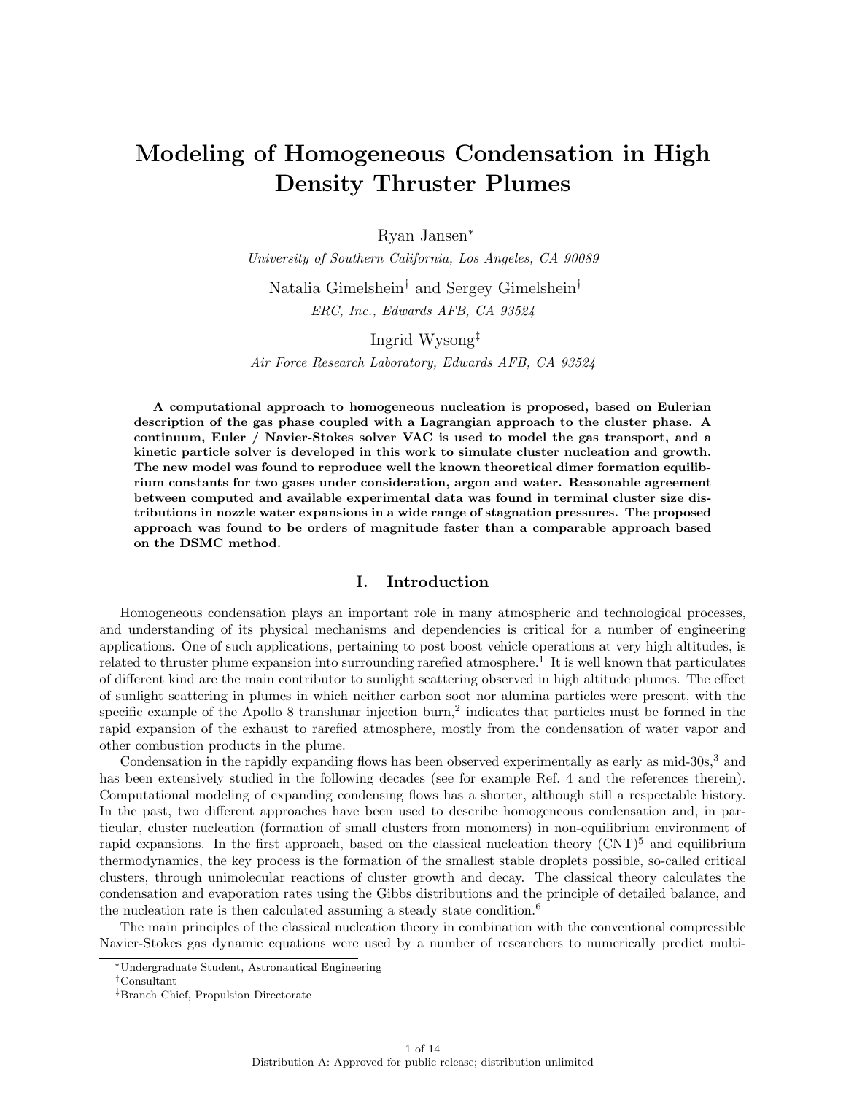# Modeling of Homogeneous Condensation in High Density Thruster Plumes

Ryan Jansen<sup>∗</sup>

University of Southern California, Los Angeles, CA 90089

Natalia Gimelshein† and Sergey Gimelshein† ERC, Inc., Edwards AFB, CA 93524

Ingrid Wysong‡

Air Force Research Laboratory, Edwards AFB, CA 93524

A computational approach to homogeneous nucleation is proposed, based on Eulerian description of the gas phase coupled with a Lagrangian approach to the cluster phase. A continuum, Euler / Navier-Stokes solver VAC is used to model the gas transport, and a kinetic particle solver is developed in this work to simulate cluster nucleation and growth. The new model was found to reproduce well the known theoretical dimer formation equilibrium constants for two gases under consideration, argon and water. Reasonable agreement between computed and available experimental data was found in terminal cluster size distributions in nozzle water expansions in a wide range of stagnation pressures. The proposed approach was found to be orders of magnitude faster than a comparable approach based on the DSMC method.

# I. Introduction

Homogeneous condensation plays an important role in many atmospheric and technological processes, and understanding of its physical mechanisms and dependencies is critical for a number of engineering applications. One of such applications, pertaining to post boost vehicle operations at very high altitudes, is related to thruster plume expansion into surrounding rarefied atmosphere.<sup>1</sup> It is well known that particulates of different kind are the main contributor to sunlight scattering observed in high altitude plumes. The effect of sunlight scattering in plumes in which neither carbon soot nor alumina particles were present, with the specific example of the Apollo 8 translunar injection burn,<sup>2</sup> indicates that particles must be formed in the rapid expansion of the exhaust to rarefied atmosphere, mostly from the condensation of water vapor and other combustion products in the plume.

Condensation in the rapidly expanding flows has been observed experimentally as early as mid-30s,<sup>3</sup> and has been extensively studied in the following decades (see for example Ref. 4 and the references therein). Computational modeling of expanding condensing flows has a shorter, although still a respectable history. In the past, two different approaches have been used to describe homogeneous condensation and, in particular, cluster nucleation (formation of small clusters from monomers) in non-equilibrium environment of rapid expansions. In the first approach, based on the classical nucleation theory  $(CNT)^5$  and equilibrium thermodynamics, the key process is the formation of the smallest stable droplets possible, so-called critical clusters, through unimolecular reactions of cluster growth and decay. The classical theory calculates the condensation and evaporation rates using the Gibbs distributions and the principle of detailed balance, and the nucleation rate is then calculated assuming a steady state condition.<sup>6</sup>

The main principles of the classical nucleation theory in combination with the conventional compressible Navier-Stokes gas dynamic equations were used by a number of researchers to numerically predict multi-

<sup>∗</sup>Undergraduate Student, Astronautical Engineering

<sup>†</sup>Consultant

<sup>‡</sup>Branch Chief, Propulsion Directorate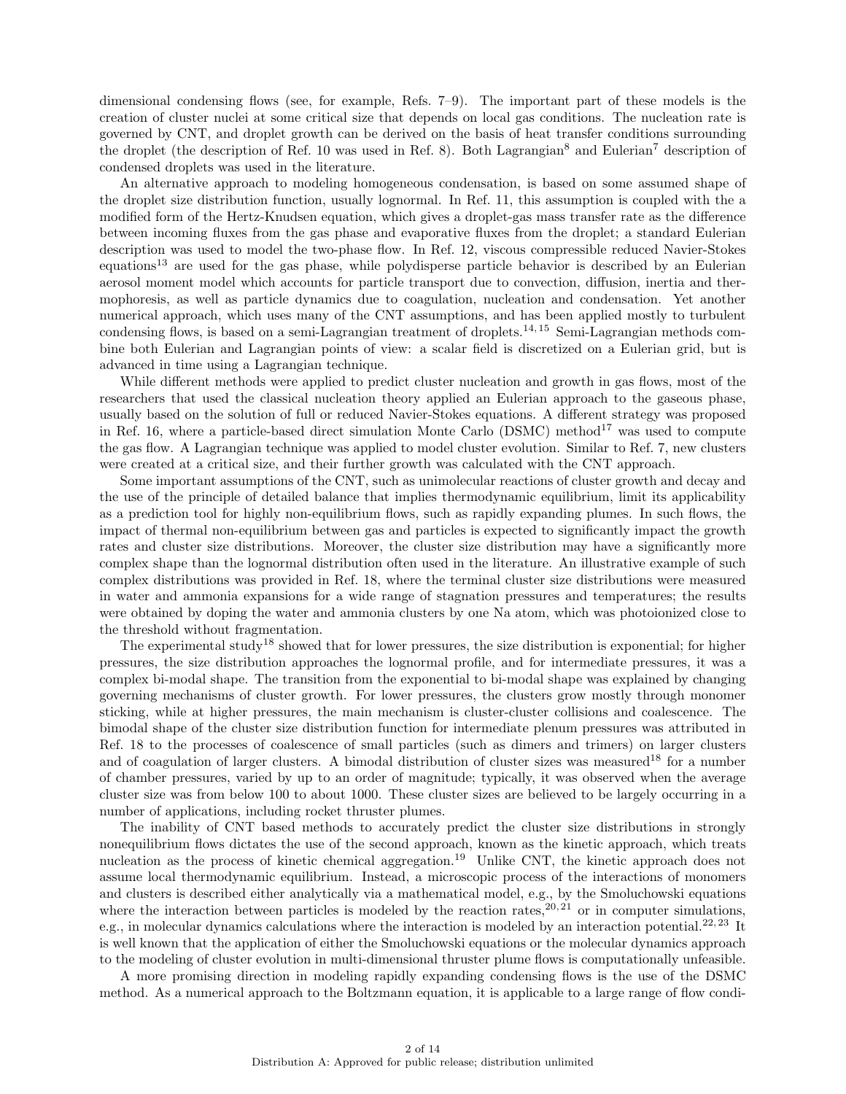dimensional condensing flows (see, for example, Refs. 7–9). The important part of these models is the creation of cluster nuclei at some critical size that depends on local gas conditions. The nucleation rate is governed by CNT, and droplet growth can be derived on the basis of heat transfer conditions surrounding the droplet (the description of Ref. 10 was used in Ref. 8). Both Lagrangian<sup>8</sup> and Eulerian<sup>7</sup> description of condensed droplets was used in the literature.

An alternative approach to modeling homogeneous condensation, is based on some assumed shape of the droplet size distribution function, usually lognormal. In Ref. 11, this assumption is coupled with the a modified form of the Hertz-Knudsen equation, which gives a droplet-gas mass transfer rate as the difference between incoming fluxes from the gas phase and evaporative fluxes from the droplet; a standard Eulerian description was used to model the two-phase flow. In Ref. 12, viscous compressible reduced Navier-Stokes equations<sup>13</sup> are used for the gas phase, while polydisperse particle behavior is described by an Eulerian aerosol moment model which accounts for particle transport due to convection, diffusion, inertia and thermophoresis, as well as particle dynamics due to coagulation, nucleation and condensation. Yet another numerical approach, which uses many of the CNT assumptions, and has been applied mostly to turbulent condensing flows, is based on a semi-Lagrangian treatment of droplets.<sup>14, 15</sup> Semi-Lagrangian methods combine both Eulerian and Lagrangian points of view: a scalar field is discretized on a Eulerian grid, but is advanced in time using a Lagrangian technique.

While different methods were applied to predict cluster nucleation and growth in gas flows, most of the researchers that used the classical nucleation theory applied an Eulerian approach to the gaseous phase, usually based on the solution of full or reduced Navier-Stokes equations. A different strategy was proposed in Ref. 16, where a particle-based direct simulation Monte Carlo  $(DSMC)$  method<sup>17</sup> was used to compute the gas flow. A Lagrangian technique was applied to model cluster evolution. Similar to Ref. 7, new clusters were created at a critical size, and their further growth was calculated with the CNT approach.

Some important assumptions of the CNT, such as unimolecular reactions of cluster growth and decay and the use of the principle of detailed balance that implies thermodynamic equilibrium, limit its applicability as a prediction tool for highly non-equilibrium flows, such as rapidly expanding plumes. In such flows, the impact of thermal non-equilibrium between gas and particles is expected to significantly impact the growth rates and cluster size distributions. Moreover, the cluster size distribution may have a significantly more complex shape than the lognormal distribution often used in the literature. An illustrative example of such complex distributions was provided in Ref. 18, where the terminal cluster size distributions were measured in water and ammonia expansions for a wide range of stagnation pressures and temperatures; the results were obtained by doping the water and ammonia clusters by one Na atom, which was photoionized close to the threshold without fragmentation.

The experimental study<sup>18</sup> showed that for lower pressures, the size distribution is exponential; for higher pressures, the size distribution approaches the lognormal profile, and for intermediate pressures, it was a complex bi-modal shape. The transition from the exponential to bi-modal shape was explained by changing governing mechanisms of cluster growth. For lower pressures, the clusters grow mostly through monomer sticking, while at higher pressures, the main mechanism is cluster-cluster collisions and coalescence. The bimodal shape of the cluster size distribution function for intermediate plenum pressures was attributed in Ref. 18 to the processes of coalescence of small particles (such as dimers and trimers) on larger clusters and of coagulation of larger clusters. A bimodal distribution of cluster sizes was measured<sup>18</sup> for a number of chamber pressures, varied by up to an order of magnitude; typically, it was observed when the average cluster size was from below 100 to about 1000. These cluster sizes are believed to be largely occurring in a number of applications, including rocket thruster plumes.

The inability of CNT based methods to accurately predict the cluster size distributions in strongly nonequilibrium flows dictates the use of the second approach, known as the kinetic approach, which treats nucleation as the process of kinetic chemical aggregation.<sup>19</sup> Unlike CNT, the kinetic approach does not assume local thermodynamic equilibrium. Instead, a microscopic process of the interactions of monomers and clusters is described either analytically via a mathematical model, e.g., by the Smoluchowski equations where the interaction between particles is modeled by the reaction rates,<sup>20, 21</sup> or in computer simulations, e.g., in molecular dynamics calculations where the interaction is modeled by an interaction potential.<sup>22, 23</sup> It is well known that the application of either the Smoluchowski equations or the molecular dynamics approach to the modeling of cluster evolution in multi-dimensional thruster plume flows is computationally unfeasible.

A more promising direction in modeling rapidly expanding condensing flows is the use of the DSMC method. As a numerical approach to the Boltzmann equation, it is applicable to a large range of flow condi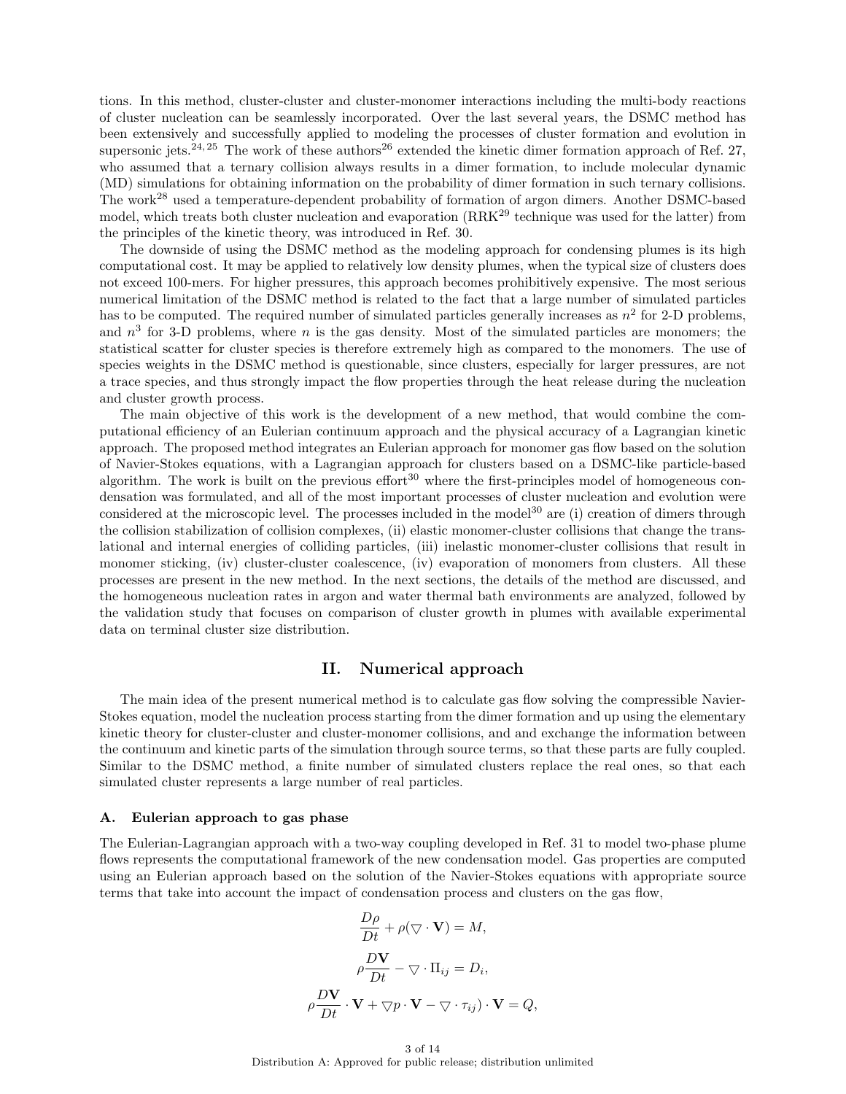tions. In this method, cluster-cluster and cluster-monomer interactions including the multi-body reactions of cluster nucleation can be seamlessly incorporated. Over the last several years, the DSMC method has been extensively and successfully applied to modeling the processes of cluster formation and evolution in supersonic jets.<sup>24, 25</sup> The work of these authors<sup>26</sup> extended the kinetic dimer formation approach of Ref. 27, who assumed that a ternary collision always results in a dimer formation, to include molecular dynamic (MD) simulations for obtaining information on the probability of dimer formation in such ternary collisions. The work<sup>28</sup> used a temperature-dependent probability of formation of argon dimers. Another DSMC-based model, which treats both cluster nucleation and evaporation (RRK<sup>29</sup> technique was used for the latter) from the principles of the kinetic theory, was introduced in Ref. 30.

The downside of using the DSMC method as the modeling approach for condensing plumes is its high computational cost. It may be applied to relatively low density plumes, when the typical size of clusters does not exceed 100-mers. For higher pressures, this approach becomes prohibitively expensive. The most serious numerical limitation of the DSMC method is related to the fact that a large number of simulated particles has to be computed. The required number of simulated particles generally increases as  $n^2$  for 2-D problems, and  $n^3$  for 3-D problems, where n is the gas density. Most of the simulated particles are monomers; the statistical scatter for cluster species is therefore extremely high as compared to the monomers. The use of species weights in the DSMC method is questionable, since clusters, especially for larger pressures, are not a trace species, and thus strongly impact the flow properties through the heat release during the nucleation and cluster growth process.

The main objective of this work is the development of a new method, that would combine the computational efficiency of an Eulerian continuum approach and the physical accuracy of a Lagrangian kinetic approach. The proposed method integrates an Eulerian approach for monomer gas flow based on the solution of Navier-Stokes equations, with a Lagrangian approach for clusters based on a DSMC-like particle-based algorithm. The work is built on the previous effort<sup>30</sup> where the first-principles model of homogeneous condensation was formulated, and all of the most important processes of cluster nucleation and evolution were considered at the microscopic level. The processes included in the model<sup>30</sup> are (i) creation of dimers through the collision stabilization of collision complexes, (ii) elastic monomer-cluster collisions that change the translational and internal energies of colliding particles, (iii) inelastic monomer-cluster collisions that result in monomer sticking, (iv) cluster-cluster coalescence, (iv) evaporation of monomers from clusters. All these processes are present in the new method. In the next sections, the details of the method are discussed, and the homogeneous nucleation rates in argon and water thermal bath environments are analyzed, followed by the validation study that focuses on comparison of cluster growth in plumes with available experimental data on terminal cluster size distribution.

## II. Numerical approach

The main idea of the present numerical method is to calculate gas flow solving the compressible Navier-Stokes equation, model the nucleation process starting from the dimer formation and up using the elementary kinetic theory for cluster-cluster and cluster-monomer collisions, and and exchange the information between the continuum and kinetic parts of the simulation through source terms, so that these parts are fully coupled. Similar to the DSMC method, a finite number of simulated clusters replace the real ones, so that each simulated cluster represents a large number of real particles.

#### A. Eulerian approach to gas phase

The Eulerian-Lagrangian approach with a two-way coupling developed in Ref. 31 to model two-phase plume flows represents the computational framework of the new condensation model. Gas properties are computed using an Eulerian approach based on the solution of the Navier-Stokes equations with appropriate source terms that take into account the impact of condensation process and clusters on the gas flow,

$$
\frac{D\rho}{Dt} + \rho(\nabla \cdot \mathbf{V}) = M,
$$

$$
\rho \frac{D\mathbf{V}}{Dt} - \nabla \cdot \Pi_{ij} = D_i,
$$

$$
\rho \frac{D\mathbf{V}}{Dt} \cdot \mathbf{V} + \nabla p \cdot \mathbf{V} - \nabla \cdot \tau_{ij}) \cdot \mathbf{V} = Q,
$$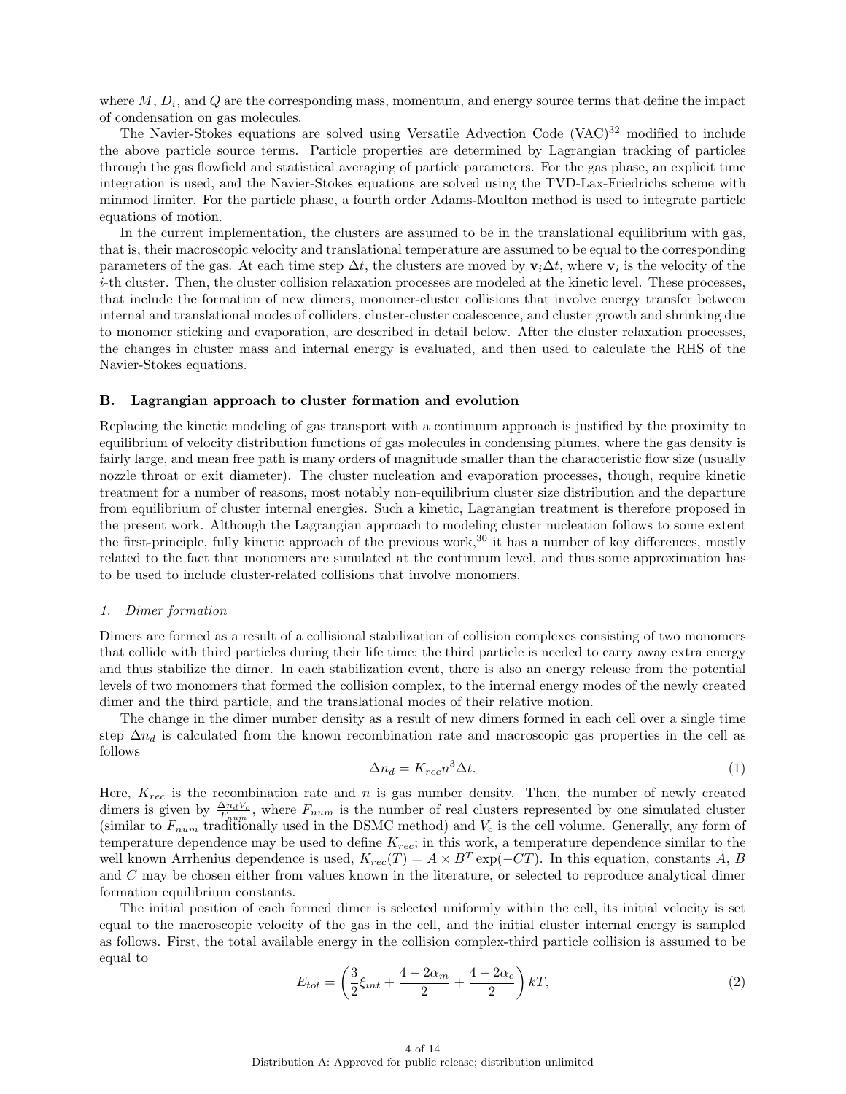where  $M, D_i$ , and  $Q$  are the corresponding mass, momentum, and energy source terms that define the impact of condensation on gas molecules.

The Navier-Stokes equations are solved using Versatile Advection Code (VAC)<sup>32</sup> modified to include the above particle source terms. Particle properties are determined by Lagrangian tracking of particles through the gas flowfield and statistical averaging of particle parameters. For the gas phase, an explicit time integration is used, and the Navier-Stokes equations are solved using the TVD-Lax-Friedrichs scheme with minmod limiter. For the particle phase, a fourth order Adams-Moulton method is used to integrate particle equations of motion.

In the current implementation, the clusters are assumed to be in the translational equilibrium with gas, that is, their macroscopic velocity and translational temperature are assumed to be equal to the corresponding parameters of the gas. At each time step  $\Delta t$ , the clusters are moved by  $\mathbf{v}_i \Delta t$ , where  $\mathbf{v}_i$  is the velocity of the  $i$ -th cluster. Then, the cluster collision relaxation processes are modeled at the kinetic level. These processes, that include the formation of new dimers, monomer-cluster collisions that involve energy transfer between internal and translational modes of colliders, cluster-cluster coalescence, and cluster growth and shrinking due to monomer sticking and evaporation, are described in detail below. After the cluster relaxation processes, the changes in cluster mass and internal energy is evaluated, and then used to calculate the RHS of the Navier-Stokes equations.

#### B. Lagrangian approach to cluster formation and evolution

Replacing the kinetic modeling of gas transport with a continuum approach is justified by the proximity to equilibrium of velocity distribution functions of gas molecules in condensing plumes, where the gas density is fairly large, and mean free path is many orders of magnitude smaller than the characteristic flow size (usually nozzle throat or exit diameter). The cluster nucleation and evaporation processes, though, require kinetic treatment for a number of reasons, most notably non-equilibrium cluster size distribution and the departure from equilibrium of cluster internal energies. Such a kinetic, Lagrangian treatment is therefore proposed in the present work. Although the Lagrangian approach to modeling cluster nucleation follows to some extent the first-principle, fully kinetic approach of the previous work, $30$  it has a number of key differences, mostly related to the fact that monomers are simulated at the continuum level, and thus some approximation has to be used to include cluster-related collisions that involve monomers.

#### 1. Dimer formation

Dimers are formed as a result of a collisional stabilization of collision complexes consisting of two monomers that collide with third particles during their life time; the third particle is needed to carry away extra energy and thus stabilize the dimer. In each stabilization event, there is also an energy release from the potential levels of two monomers that formed the collision complex, to the internal energy modes of the newly created dimer and the third particle, and the translational modes of their relative motion.

The change in the dimer number density as a result of new dimers formed in each cell over a single time step  $\Delta n_d$  is calculated from the known recombination rate and macroscopic gas properties in the cell as follows

$$
\Delta n_d = K_{rec} n^3 \Delta t. \tag{1}
$$

Here,  $K_{rec}$  is the recombination rate and n is gas number density. Then, the number of newly created dimers is given by  $\frac{\Delta n_d V_c}{F_{num}}$ , where  $F_{num}$  is the number of real clusters represented by one simulated cluster (similar to  $F_{num}$  traditionally used in the DSMC method) and  $V_c$  is the cell volume. Generally, any form of temperature dependence may be used to define  $K_{rec}$ ; in this work, a temperature dependence similar to the well known Arrhenius dependence is used,  $K_{rec}(T) = A \times B^{T} \exp(-CT)$ . In this equation, constants A, B and C may be chosen either from values known in the literature, or selected to reproduce analytical dimer formation equilibrium constants.

The initial position of each formed dimer is selected uniformly within the cell, its initial velocity is set equal to the macroscopic velocity of the gas in the cell, and the initial cluster internal energy is sampled as follows. First, the total available energy in the collision complex-third particle collision is assumed to be equal to

$$
E_{tot} = \left(\frac{3}{2}\xi_{int} + \frac{4 - 2\alpha_m}{2} + \frac{4 - 2\alpha_c}{2}\right)kT,
$$
\n(2)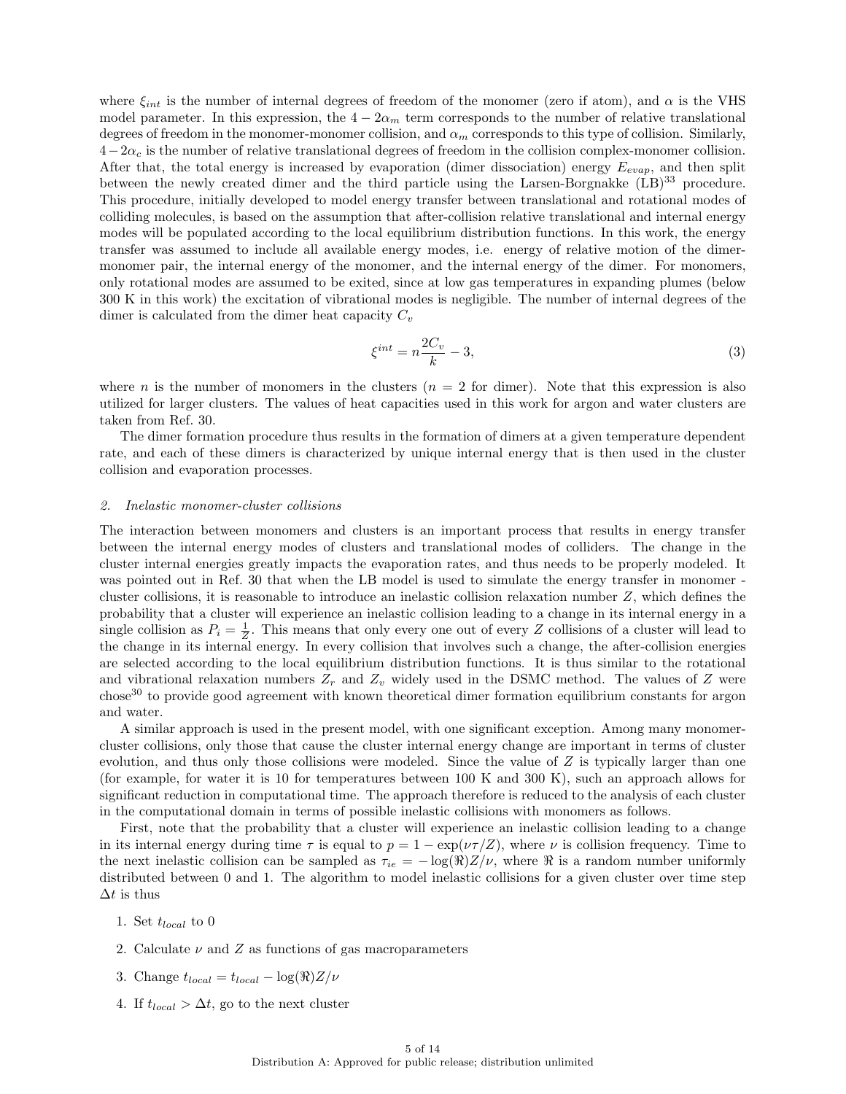where  $\xi_{int}$  is the number of internal degrees of freedom of the monomer (zero if atom), and  $\alpha$  is the VHS model parameter. In this expression, the  $4 - 2\alpha_m$  term corresponds to the number of relative translational degrees of freedom in the monomer-monomer collision, and  $\alpha_m$  corresponds to this type of collision. Similarly,  $4-2\alpha_c$  is the number of relative translational degrees of freedom in the collision complex-monomer collision. After that, the total energy is increased by evaporation (dimer dissociation) energy  $E_{evap}$ , and then split between the newly created dimer and the third particle using the Larsen-Borgnakke (LB)<sup>33</sup> procedure. This procedure, initially developed to model energy transfer between translational and rotational modes of colliding molecules, is based on the assumption that after-collision relative translational and internal energy modes will be populated according to the local equilibrium distribution functions. In this work, the energy transfer was assumed to include all available energy modes, i.e. energy of relative motion of the dimermonomer pair, the internal energy of the monomer, and the internal energy of the dimer. For monomers, only rotational modes are assumed to be exited, since at low gas temperatures in expanding plumes (below 300 K in this work) the excitation of vibrational modes is negligible. The number of internal degrees of the dimer is calculated from the dimer heat capacity  $C_v$ 

$$
\xi^{int} = n \frac{2C_v}{k} - 3,\tag{3}
$$

where n is the number of monomers in the clusters  $(n = 2$  for dimer). Note that this expression is also utilized for larger clusters. The values of heat capacities used in this work for argon and water clusters are taken from Ref. 30.

The dimer formation procedure thus results in the formation of dimers at a given temperature dependent rate, and each of these dimers is characterized by unique internal energy that is then used in the cluster collision and evaporation processes.

#### 2. Inelastic monomer-cluster collisions

The interaction between monomers and clusters is an important process that results in energy transfer between the internal energy modes of clusters and translational modes of colliders. The change in the cluster internal energies greatly impacts the evaporation rates, and thus needs to be properly modeled. It was pointed out in Ref. 30 that when the LB model is used to simulate the energy transfer in monomer cluster collisions, it is reasonable to introduce an inelastic collision relaxation number Z, which defines the probability that a cluster will experience an inelastic collision leading to a change in its internal energy in a single collision as  $P_i = \frac{1}{Z}$ . This means that only every one out of every Z collisions of a cluster will lead to the change in its internal energy. In every collision that involves such a change, the after-collision energies are selected according to the local equilibrium distribution functions. It is thus similar to the rotational and vibrational relaxation numbers  $Z_r$  and  $Z_v$  widely used in the DSMC method. The values of Z were chose<sup>30</sup> to provide good agreement with known theoretical dimer formation equilibrium constants for argon and water.

A similar approach is used in the present model, with one significant exception. Among many monomercluster collisions, only those that cause the cluster internal energy change are important in terms of cluster evolution, and thus only those collisions were modeled. Since the value of  $Z$  is typically larger than one (for example, for water it is 10 for temperatures between 100 K and 300 K), such an approach allows for significant reduction in computational time. The approach therefore is reduced to the analysis of each cluster in the computational domain in terms of possible inelastic collisions with monomers as follows.

First, note that the probability that a cluster will experience an inelastic collision leading to a change in its internal energy during time  $\tau$  is equal to  $p = 1 - \exp(\nu \tau / Z)$ , where  $\nu$  is collision frequency. Time to the next inelastic collision can be sampled as  $\tau_{ie} = -\log(\Re)Z/\nu$ , where  $\Re$  is a random number uniformly distributed between 0 and 1. The algorithm to model inelastic collisions for a given cluster over time step  $\Delta t$  is thus

- 1. Set  $t_{local}$  to 0
- 2. Calculate  $\nu$  and Z as functions of gas macroparameters
- 3. Change  $t_{local} = t_{local} \log(\Re)Z/\nu$
- 4. If  $t_{local} > \Delta t$ , go to the next cluster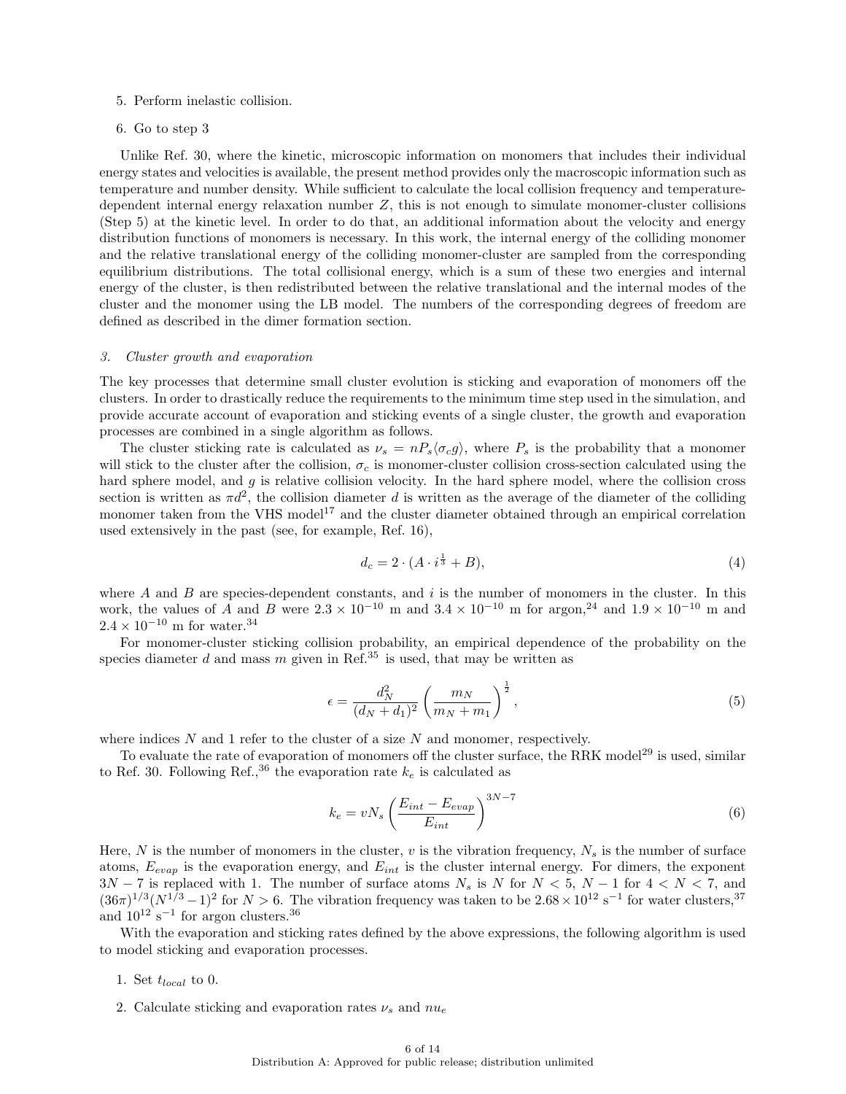#### 5. Perform inelastic collision.

6. Go to step 3

Unlike Ref. 30, where the kinetic, microscopic information on monomers that includes their individual energy states and velocities is available, the present method provides only the macroscopic information such as temperature and number density. While sufficient to calculate the local collision frequency and temperaturedependent internal energy relaxation number  $Z$ , this is not enough to simulate monomer-cluster collisions (Step 5) at the kinetic level. In order to do that, an additional information about the velocity and energy distribution functions of monomers is necessary. In this work, the internal energy of the colliding monomer and the relative translational energy of the colliding monomer-cluster are sampled from the corresponding equilibrium distributions. The total collisional energy, which is a sum of these two energies and internal energy of the cluster, is then redistributed between the relative translational and the internal modes of the cluster and the monomer using the LB model. The numbers of the corresponding degrees of freedom are defined as described in the dimer formation section.

#### 3. Cluster growth and evaporation

The key processes that determine small cluster evolution is sticking and evaporation of monomers off the clusters. In order to drastically reduce the requirements to the minimum time step used in the simulation, and provide accurate account of evaporation and sticking events of a single cluster, the growth and evaporation processes are combined in a single algorithm as follows.

The cluster sticking rate is calculated as  $\nu_s = nP_s \langle \sigma_c g \rangle$ , where  $P_s$  is the probability that a monomer will stick to the cluster after the collision,  $\sigma_c$  is monomer-cluster collision cross-section calculated using the hard sphere model, and g is relative collision velocity. In the hard sphere model, where the collision cross section is written as  $\pi d^2$ , the collision diameter d is written as the average of the diameter of the colliding monomer taken from the VHS model<sup>17</sup> and the cluster diameter obtained through an empirical correlation used extensively in the past (see, for example, Ref. 16),

$$
d_c = 2 \cdot (A \cdot i^{\frac{1}{3}} + B),\tag{4}
$$

where A and B are species-dependent constants, and  $i$  is the number of monomers in the cluster. In this work, the values of A and B were  $2.3 \times 10^{-10}$  m and  $3.4 \times 10^{-10}$  m for argon,<sup>24</sup> and  $1.9 \times 10^{-10}$  m and  $2.4 \times 10^{-10}$  m for water.<sup>34</sup>

For monomer-cluster sticking collision probability, an empirical dependence of the probability on the species diameter d and mass m given in Ref.<sup>35</sup> is used, that may be written as

$$
\epsilon = \frac{d_N^2}{(d_N + d_1)^2} \left(\frac{m_N}{m_N + m_1}\right)^{\frac{1}{2}},\tag{5}
$$

where indices  $N$  and 1 refer to the cluster of a size  $N$  and monomer, respectively.

To evaluate the rate of evaporation of monomers off the cluster surface, the RRK model<sup>29</sup> is used, similar to Ref. 30. Following Ref.,<sup>36</sup> the evaporation rate  $k_e$  is calculated as

$$
k_e = v N_s \left(\frac{E_{int} - E_{evap}}{E_{int}}\right)^{3N-7}
$$
\n(6)

Here, N is the number of monomers in the cluster, v is the vibration frequency,  $N_s$  is the number of surface atoms,  $E_{evap}$  is the evaporation energy, and  $E_{int}$  is the cluster internal energy. For dimers, the exponent  $3N-7$  is replaced with 1. The number of surface atoms  $N_s$  is N for  $N < 5$ ,  $N-1$  for  $4 < N < 7$ , and  $(36\pi)^{1/3}(N^{1/3}-1)^2$  for  $N>6$ . The vibration frequency was taken to be  $2.68\times10^{12}$  s<sup>-1</sup> for water clusters,<sup>37</sup> and  $10^{12}$  s<sup>-1</sup> for argon clusters.<sup>36</sup>

With the evaporation and sticking rates defined by the above expressions, the following algorithm is used to model sticking and evaporation processes.

- 1. Set  $t_{local}$  to 0.
- 2. Calculate sticking and evaporation rates  $\nu_s$  and  $nu_e$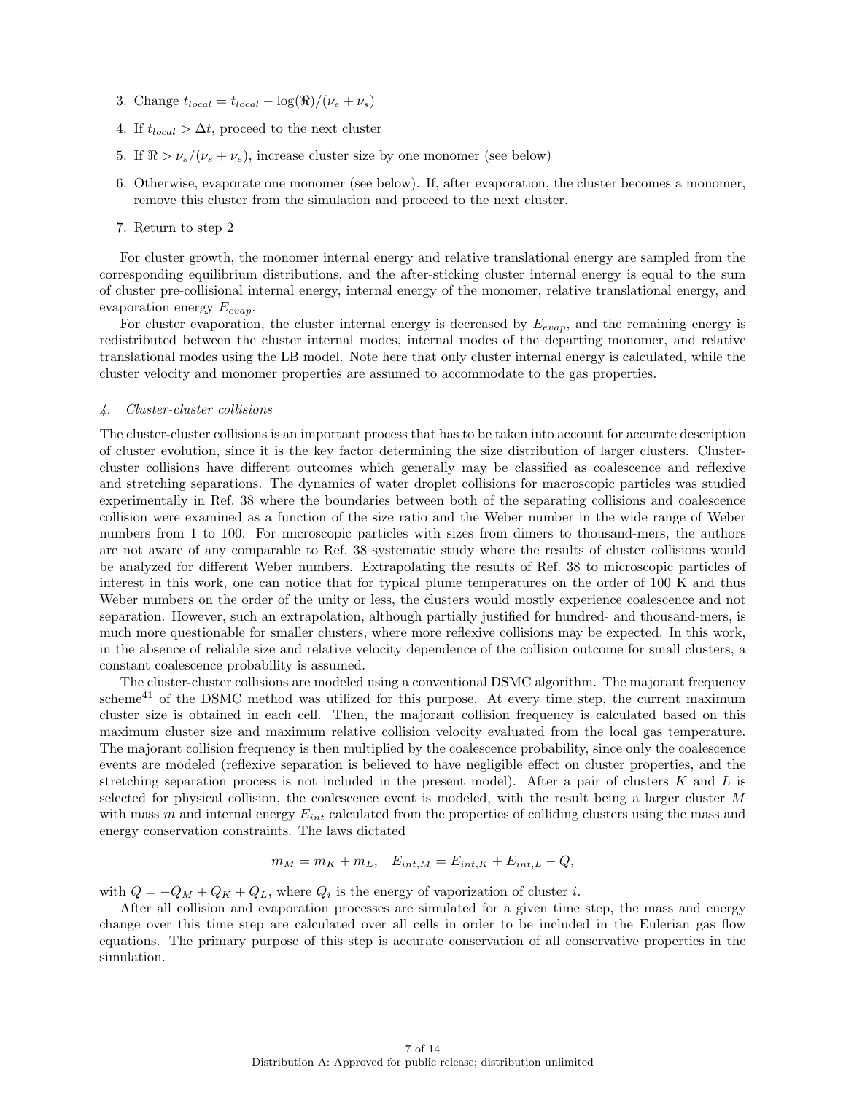- 3. Change  $t_{local} = t_{local} \log(\Re)/(\nu_e + \nu_s)$
- 4. If  $t_{local} > \Delta t$ , proceed to the next cluster
- 5. If  $\Re > \nu_s/(\nu_s + \nu_e)$ , increase cluster size by one monomer (see below)
- 6. Otherwise, evaporate one monomer (see below). If, after evaporation, the cluster becomes a monomer, remove this cluster from the simulation and proceed to the next cluster.
- 7. Return to step 2

For cluster growth, the monomer internal energy and relative translational energy are sampled from the corresponding equilibrium distributions, and the after-sticking cluster internal energy is equal to the sum of cluster pre-collisional internal energy, internal energy of the monomer, relative translational energy, and evaporation energy  $E_{evap}$ .

For cluster evaporation, the cluster internal energy is decreased by  $E_{evap}$ , and the remaining energy is redistributed between the cluster internal modes, internal modes of the departing monomer, and relative translational modes using the LB model. Note here that only cluster internal energy is calculated, while the cluster velocity and monomer properties are assumed to accommodate to the gas properties.

#### 4. Cluster-cluster collisions

The cluster-cluster collisions is an important process that has to be taken into account for accurate description of cluster evolution, since it is the key factor determining the size distribution of larger clusters. Clustercluster collisions have different outcomes which generally may be classified as coalescence and reflexive and stretching separations. The dynamics of water droplet collisions for macroscopic particles was studied experimentally in Ref. 38 where the boundaries between both of the separating collisions and coalescence collision were examined as a function of the size ratio and the Weber number in the wide range of Weber numbers from 1 to 100. For microscopic particles with sizes from dimers to thousand-mers, the authors are not aware of any comparable to Ref. 38 systematic study where the results of cluster collisions would be analyzed for different Weber numbers. Extrapolating the results of Ref. 38 to microscopic particles of interest in this work, one can notice that for typical plume temperatures on the order of 100 K and thus Weber numbers on the order of the unity or less, the clusters would mostly experience coalescence and not separation. However, such an extrapolation, although partially justified for hundred- and thousand-mers, is much more questionable for smaller clusters, where more reflexive collisions may be expected. In this work, in the absence of reliable size and relative velocity dependence of the collision outcome for small clusters, a constant coalescence probability is assumed.

The cluster-cluster collisions are modeled using a conventional DSMC algorithm. The majorant frequency scheme<sup>41</sup> of the DSMC method was utilized for this purpose. At every time step, the current maximum cluster size is obtained in each cell. Then, the majorant collision frequency is calculated based on this maximum cluster size and maximum relative collision velocity evaluated from the local gas temperature. The majorant collision frequency is then multiplied by the coalescence probability, since only the coalescence events are modeled (reflexive separation is believed to have negligible effect on cluster properties, and the stretching separation process is not included in the present model). After a pair of clusters  $K$  and  $L$  is selected for physical collision, the coalescence event is modeled, with the result being a larger cluster M with mass m and internal energy  $E_{int}$  calculated from the properties of colliding clusters using the mass and energy conservation constraints. The laws dictated

$$
m_M = m_K + m_L, \quad E_{int,M} = E_{int,K} + E_{int,L} - Q,
$$

with  $Q = -Q_M + Q_K + Q_L$ , where  $Q_i$  is the energy of vaporization of cluster i.

After all collision and evaporation processes are simulated for a given time step, the mass and energy change over this time step are calculated over all cells in order to be included in the Eulerian gas flow equations. The primary purpose of this step is accurate conservation of all conservative properties in the simulation.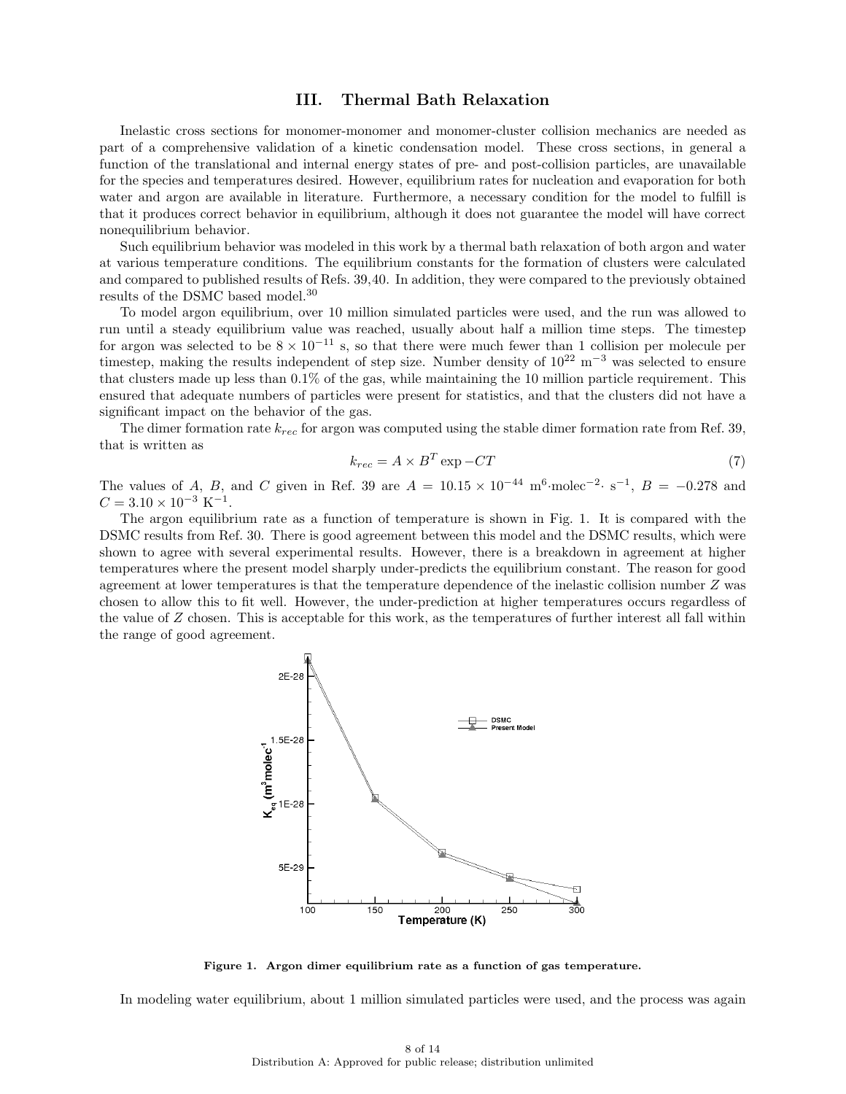# III. Thermal Bath Relaxation

Inelastic cross sections for monomer-monomer and monomer-cluster collision mechanics are needed as part of a comprehensive validation of a kinetic condensation model. These cross sections, in general a function of the translational and internal energy states of pre- and post-collision particles, are unavailable for the species and temperatures desired. However, equilibrium rates for nucleation and evaporation for both water and argon are available in literature. Furthermore, a necessary condition for the model to fulfill is that it produces correct behavior in equilibrium, although it does not guarantee the model will have correct nonequilibrium behavior.

Such equilibrium behavior was modeled in this work by a thermal bath relaxation of both argon and water at various temperature conditions. The equilibrium constants for the formation of clusters were calculated and compared to published results of Refs. 39,40. In addition, they were compared to the previously obtained results of the DSMC based model.<sup>30</sup>

To model argon equilibrium, over 10 million simulated particles were used, and the run was allowed to run until a steady equilibrium value was reached, usually about half a million time steps. The timestep for argon was selected to be  $8 \times 10^{-11}$  s, so that there were much fewer than 1 collision per molecule per timestep, making the results independent of step size. Number density of  $10^{22}$  m<sup>-3</sup> was selected to ensure that clusters made up less than 0.1% of the gas, while maintaining the 10 million particle requirement. This ensured that adequate numbers of particles were present for statistics, and that the clusters did not have a significant impact on the behavior of the gas.

The dimer formation rate  $k_{rec}$  for argon was computed using the stable dimer formation rate from Ref. 39, that is written as

$$
k_{rec} = A \times B^T \exp{-CT}
$$
 (7)

The values of A, B, and C given in Ref. 39 are  $A = 10.15 \times 10^{-44}$  m<sup>6</sup> $\cdot$ molec<sup>-2</sup> $\cdot$  s<sup>-1</sup>, B = -0.278 and  $C = 3.10 \times 10^{-3} \text{ K}^{-1}.$ 

The argon equilibrium rate as a function of temperature is shown in Fig. 1. It is compared with the DSMC results from Ref. 30. There is good agreement between this model and the DSMC results, which were shown to agree with several experimental results. However, there is a breakdown in agreement at higher temperatures where the present model sharply under-predicts the equilibrium constant. The reason for good agreement at lower temperatures is that the temperature dependence of the inelastic collision number Z was chosen to allow this to fit well. However, the under-prediction at higher temperatures occurs regardless of the value of Z chosen. This is acceptable for this work, as the temperatures of further interest all fall within the range of good agreement.



Figure 1. Argon dimer equilibrium rate as a function of gas temperature.

In modeling water equilibrium, about 1 million simulated particles were used, and the process was again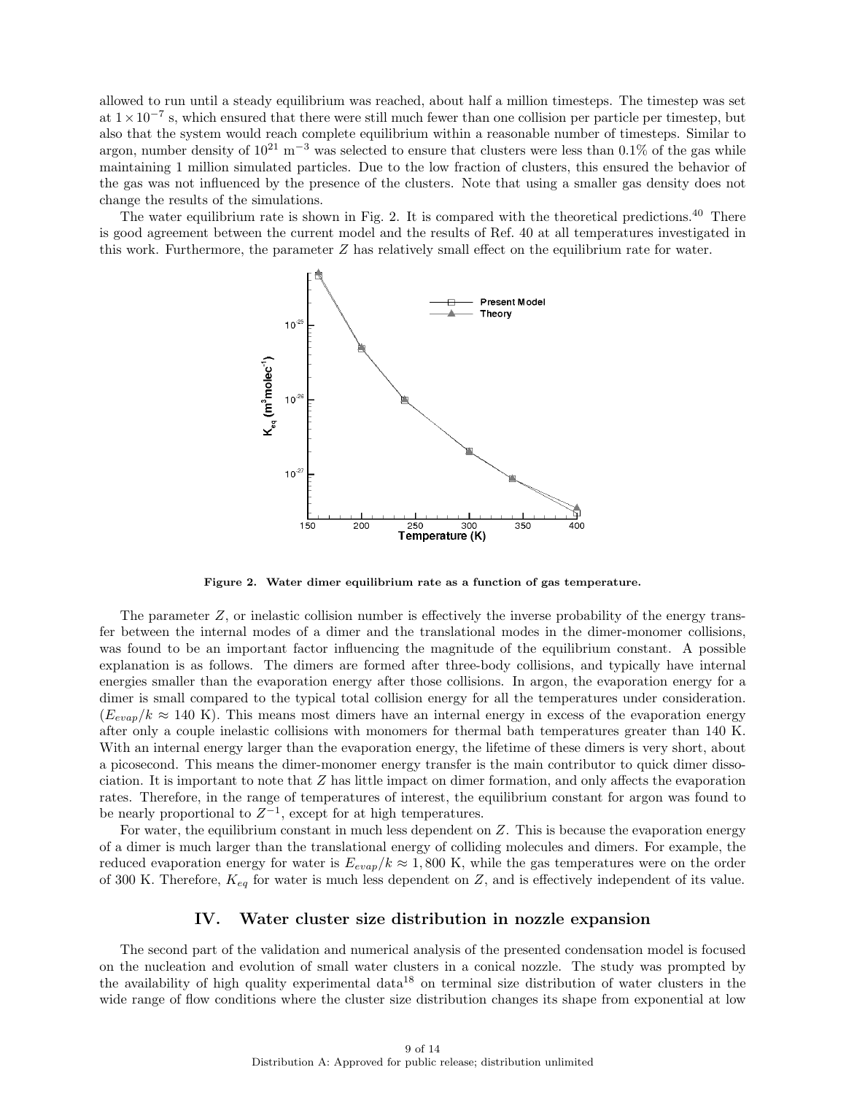allowed to run until a steady equilibrium was reached, about half a million timesteps. The timestep was set at 1×10<sup>−</sup><sup>7</sup> s, which ensured that there were still much fewer than one collision per particle per timestep, but also that the system would reach complete equilibrium within a reasonable number of timesteps. Similar to argon, number density of  $10^{21}$  m<sup>-3</sup> was selected to ensure that clusters were less than 0.1% of the gas while maintaining 1 million simulated particles. Due to the low fraction of clusters, this ensured the behavior of the gas was not influenced by the presence of the clusters. Note that using a smaller gas density does not change the results of the simulations.

The water equilibrium rate is shown in Fig. 2. It is compared with the theoretical predictions.<sup>40</sup> There is good agreement between the current model and the results of Ref. 40 at all temperatures investigated in this work. Furthermore, the parameter Z has relatively small effect on the equilibrium rate for water.



Figure 2. Water dimer equilibrium rate as a function of gas temperature.

The parameter  $Z$ , or inelastic collision number is effectively the inverse probability of the energy transfer between the internal modes of a dimer and the translational modes in the dimer-monomer collisions, was found to be an important factor influencing the magnitude of the equilibrium constant. A possible explanation is as follows. The dimers are formed after three-body collisions, and typically have internal energies smaller than the evaporation energy after those collisions. In argon, the evaporation energy for a dimer is small compared to the typical total collision energy for all the temperatures under consideration.  $(E_{evap}/k \approx 140 \text{ K})$ . This means most dimers have an internal energy in excess of the evaporation energy after only a couple inelastic collisions with monomers for thermal bath temperatures greater than 140 K. With an internal energy larger than the evaporation energy, the lifetime of these dimers is very short, about a picosecond. This means the dimer-monomer energy transfer is the main contributor to quick dimer dissociation. It is important to note that Z has little impact on dimer formation, and only affects the evaporation rates. Therefore, in the range of temperatures of interest, the equilibrium constant for argon was found to be nearly proportional to  $Z^{-1}$ , except for at high temperatures.

For water, the equilibrium constant in much less dependent on Z. This is because the evaporation energy of a dimer is much larger than the translational energy of colliding molecules and dimers. For example, the reduced evaporation energy for water is  $E_{evap}/k \approx 1,800$  K, while the gas temperatures were on the order of 300 K. Therefore,  $K_{eq}$  for water is much less dependent on Z, and is effectively independent of its value.

### IV. Water cluster size distribution in nozzle expansion

The second part of the validation and numerical analysis of the presented condensation model is focused on the nucleation and evolution of small water clusters in a conical nozzle. The study was prompted by the availability of high quality experimental data<sup>18</sup> on terminal size distribution of water clusters in the wide range of flow conditions where the cluster size distribution changes its shape from exponential at low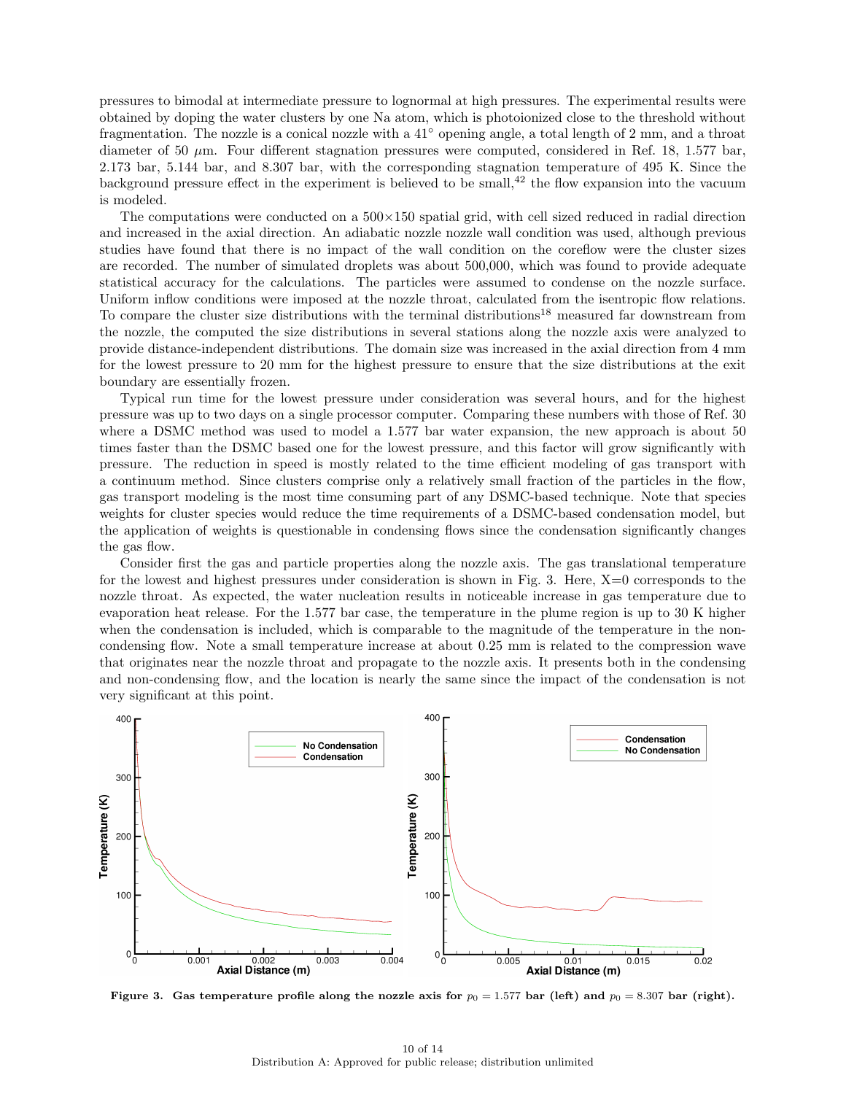pressures to bimodal at intermediate pressure to lognormal at high pressures. The experimental results were obtained by doping the water clusters by one Na atom, which is photoionized close to the threshold without fragmentation. The nozzle is a conical nozzle with a 41◦ opening angle, a total length of 2 mm, and a throat diameter of 50  $\mu$ m. Four different stagnation pressures were computed, considered in Ref. 18, 1.577 bar, 2.173 bar, 5.144 bar, and 8.307 bar, with the corresponding stagnation temperature of 495 K. Since the background pressure effect in the experiment is believed to be small,  $^{42}$  the flow expansion into the vacuum is modeled.

The computations were conducted on a  $500\times150$  spatial grid, with cell sized reduced in radial direction and increased in the axial direction. An adiabatic nozzle nozzle wall condition was used, although previous studies have found that there is no impact of the wall condition on the coreflow were the cluster sizes are recorded. The number of simulated droplets was about 500,000, which was found to provide adequate statistical accuracy for the calculations. The particles were assumed to condense on the nozzle surface. Uniform inflow conditions were imposed at the nozzle throat, calculated from the isentropic flow relations. To compare the cluster size distributions with the terminal distributions<sup>18</sup> measured far downstream from the nozzle, the computed the size distributions in several stations along the nozzle axis were analyzed to provide distance-independent distributions. The domain size was increased in the axial direction from 4 mm for the lowest pressure to 20 mm for the highest pressure to ensure that the size distributions at the exit boundary are essentially frozen.

Typical run time for the lowest pressure under consideration was several hours, and for the highest pressure was up to two days on a single processor computer. Comparing these numbers with those of Ref. 30 where a DSMC method was used to model a 1.577 bar water expansion, the new approach is about 50 times faster than the DSMC based one for the lowest pressure, and this factor will grow significantly with pressure. The reduction in speed is mostly related to the time efficient modeling of gas transport with a continuum method. Since clusters comprise only a relatively small fraction of the particles in the flow, gas transport modeling is the most time consuming part of any DSMC-based technique. Note that species weights for cluster species would reduce the time requirements of a DSMC-based condensation model, but the application of weights is questionable in condensing flows since the condensation significantly changes the gas flow.

Consider first the gas and particle properties along the nozzle axis. The gas translational temperature for the lowest and highest pressures under consideration is shown in Fig. 3. Here,  $X=0$  corresponds to the nozzle throat. As expected, the water nucleation results in noticeable increase in gas temperature due to evaporation heat release. For the 1.577 bar case, the temperature in the plume region is up to 30 K higher when the condensation is included, which is comparable to the magnitude of the temperature in the noncondensing flow. Note a small temperature increase at about 0.25 mm is related to the compression wave that originates near the nozzle throat and propagate to the nozzle axis. It presents both in the condensing and non-condensing flow, and the location is nearly the same since the impact of the condensation is not very significant at this point.



Figure 3. Gas temperature profile along the nozzle axis for  $p_0 = 1.577$  bar (left) and  $p_0 = 8.307$  bar (right).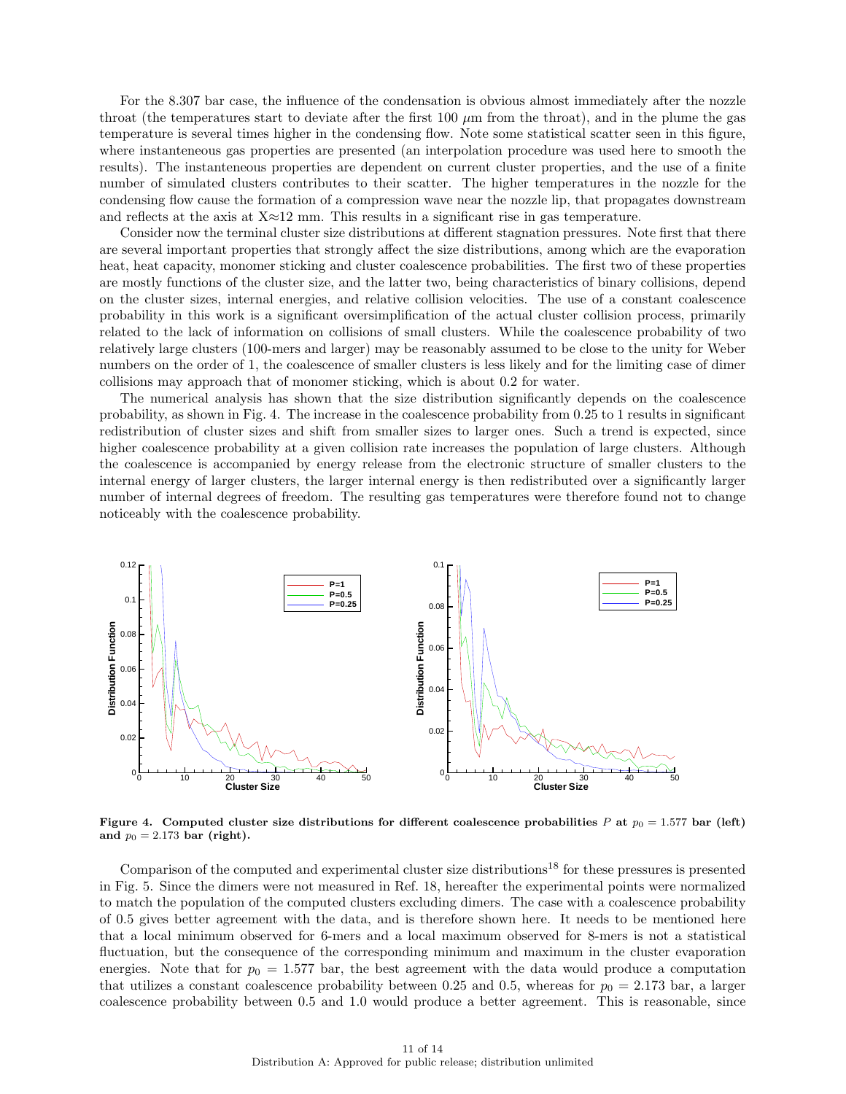For the 8.307 bar case, the influence of the condensation is obvious almost immediately after the nozzle throat (the temperatures start to deviate after the first 100  $\mu$ m from the throat), and in the plume the gas temperature is several times higher in the condensing flow. Note some statistical scatter seen in this figure, where instanteneous gas properties are presented (an interpolation procedure was used here to smooth the results). The instanteneous properties are dependent on current cluster properties, and the use of a finite number of simulated clusters contributes to their scatter. The higher temperatures in the nozzle for the condensing flow cause the formation of a compression wave near the nozzle lip, that propagates downstream and reflects at the axis at  $X \approx 12$  mm. This results in a significant rise in gas temperature.

Consider now the terminal cluster size distributions at different stagnation pressures. Note first that there are several important properties that strongly affect the size distributions, among which are the evaporation heat, heat capacity, monomer sticking and cluster coalescence probabilities. The first two of these properties are mostly functions of the cluster size, and the latter two, being characteristics of binary collisions, depend on the cluster sizes, internal energies, and relative collision velocities. The use of a constant coalescence probability in this work is a significant oversimplification of the actual cluster collision process, primarily related to the lack of information on collisions of small clusters. While the coalescence probability of two relatively large clusters (100-mers and larger) may be reasonably assumed to be close to the unity for Weber numbers on the order of 1, the coalescence of smaller clusters is less likely and for the limiting case of dimer collisions may approach that of monomer sticking, which is about 0.2 for water.

The numerical analysis has shown that the size distribution significantly depends on the coalescence probability, as shown in Fig. 4. The increase in the coalescence probability from 0.25 to 1 results in significant redistribution of cluster sizes and shift from smaller sizes to larger ones. Such a trend is expected, since higher coalescence probability at a given collision rate increases the population of large clusters. Although the coalescence is accompanied by energy release from the electronic structure of smaller clusters to the internal energy of larger clusters, the larger internal energy is then redistributed over a significantly larger number of internal degrees of freedom. The resulting gas temperatures were therefore found not to change noticeably with the coalescence probability.



Figure 4. Computed cluster size distributions for different coalescence probabilities P at  $p_0 = 1.577$  bar (left) and  $p_0 = 2.173$  bar (right).

Comparison of the computed and experimental cluster size distributions<sup>18</sup> for these pressures is presented in Fig. 5. Since the dimers were not measured in Ref. 18, hereafter the experimental points were normalized to match the population of the computed clusters excluding dimers. The case with a coalescence probability of 0.5 gives better agreement with the data, and is therefore shown here. It needs to be mentioned here that a local minimum observed for 6-mers and a local maximum observed for 8-mers is not a statistical fluctuation, but the consequence of the corresponding minimum and maximum in the cluster evaporation energies. Note that for  $p_0 = 1.577$  bar, the best agreement with the data would produce a computation that utilizes a constant coalescence probability between 0.25 and 0.5, whereas for  $p_0 = 2.173$  bar, a larger coalescence probability between 0.5 and 1.0 would produce a better agreement. This is reasonable, since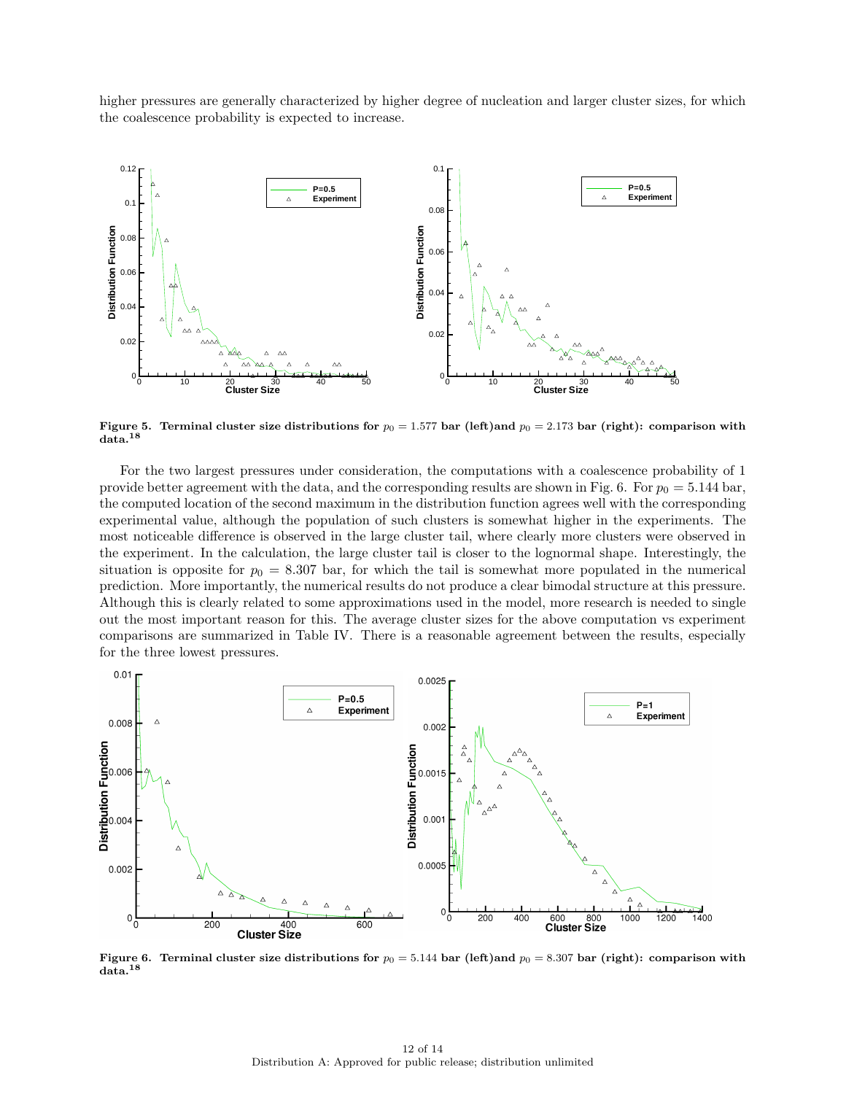higher pressures are generally characterized by higher degree of nucleation and larger cluster sizes, for which the coalescence probability is expected to increase.



Figure 5. Terminal cluster size distributions for  $p_0 = 1.577$  bar (left)and  $p_0 = 2.173$  bar (right): comparison with data.<sup>18</sup>

For the two largest pressures under consideration, the computations with a coalescence probability of 1 provide better agreement with the data, and the corresponding results are shown in Fig. 6. For  $p_0 = 5.144$  bar, the computed location of the second maximum in the distribution function agrees well with the corresponding experimental value, although the population of such clusters is somewhat higher in the experiments. The most noticeable difference is observed in the large cluster tail, where clearly more clusters were observed in the experiment. In the calculation, the large cluster tail is closer to the lognormal shape. Interestingly, the situation is opposite for  $p_0 = 8.307$  bar, for which the tail is somewhat more populated in the numerical prediction. More importantly, the numerical results do not produce a clear bimodal structure at this pressure. Although this is clearly related to some approximations used in the model, more research is needed to single out the most important reason for this. The average cluster sizes for the above computation vs experiment comparisons are summarized in Table IV. There is a reasonable agreement between the results, especially for the three lowest pressures.



Figure 6. Terminal cluster size distributions for  $p_0 = 5.144$  bar (left)and  $p_0 = 8.307$  bar (right): comparison with data.<sup>18</sup>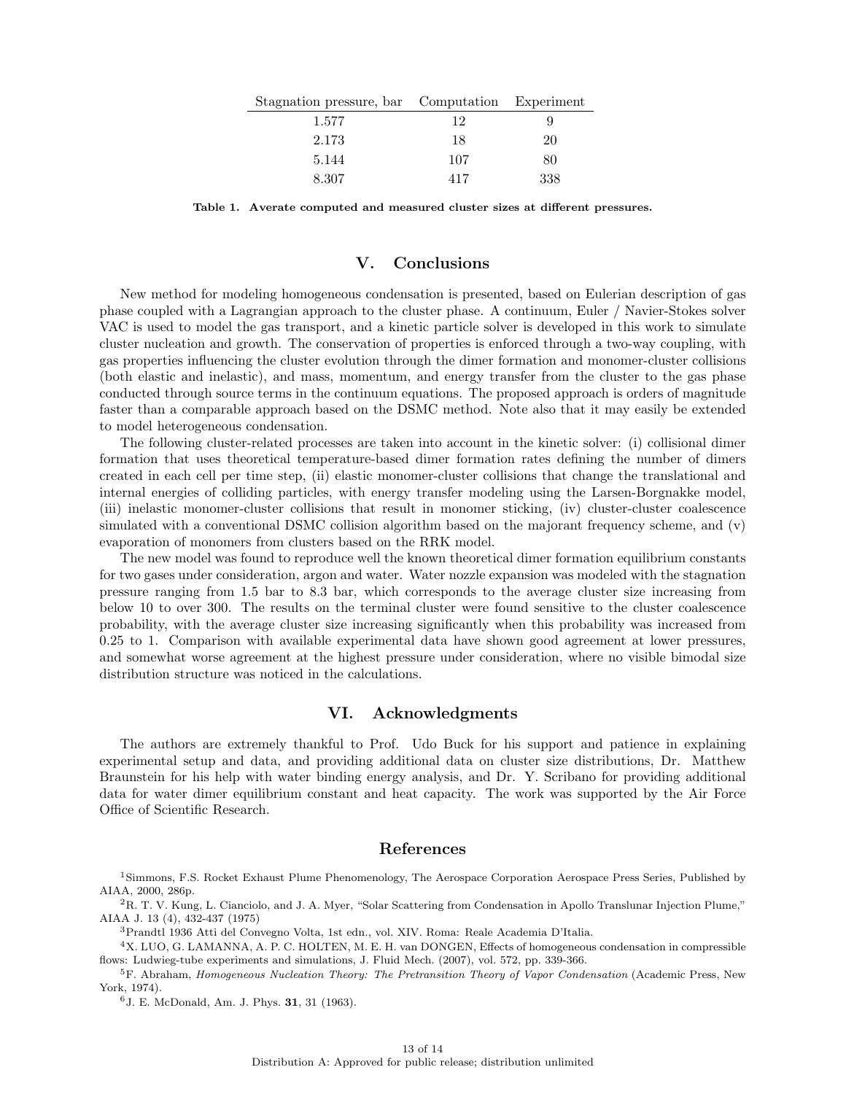| Stagnation pressure, bar Computation Experiment |     |     |
|-------------------------------------------------|-----|-----|
| 1.577                                           | 12  |     |
| 2.173                                           | 18  | 20  |
| 5.144                                           | 107 | 80  |
| 8.307                                           | 417 | 338 |

Table 1. Averate computed and measured cluster sizes at different pressures.

# V. Conclusions

New method for modeling homogeneous condensation is presented, based on Eulerian description of gas phase coupled with a Lagrangian approach to the cluster phase. A continuum, Euler / Navier-Stokes solver VAC is used to model the gas transport, and a kinetic particle solver is developed in this work to simulate cluster nucleation and growth. The conservation of properties is enforced through a two-way coupling, with gas properties influencing the cluster evolution through the dimer formation and monomer-cluster collisions (both elastic and inelastic), and mass, momentum, and energy transfer from the cluster to the gas phase conducted through source terms in the continuum equations. The proposed approach is orders of magnitude faster than a comparable approach based on the DSMC method. Note also that it may easily be extended to model heterogeneous condensation.

The following cluster-related processes are taken into account in the kinetic solver: (i) collisional dimer formation that uses theoretical temperature-based dimer formation rates defining the number of dimers created in each cell per time step, (ii) elastic monomer-cluster collisions that change the translational and internal energies of colliding particles, with energy transfer modeling using the Larsen-Borgnakke model, (iii) inelastic monomer-cluster collisions that result in monomer sticking, (iv) cluster-cluster coalescence simulated with a conventional DSMC collision algorithm based on the majorant frequency scheme, and (v) evaporation of monomers from clusters based on the RRK model.

The new model was found to reproduce well the known theoretical dimer formation equilibrium constants for two gases under consideration, argon and water. Water nozzle expansion was modeled with the stagnation pressure ranging from 1.5 bar to 8.3 bar, which corresponds to the average cluster size increasing from below 10 to over 300. The results on the terminal cluster were found sensitive to the cluster coalescence probability, with the average cluster size increasing significantly when this probability was increased from 0.25 to 1. Comparison with available experimental data have shown good agreement at lower pressures, and somewhat worse agreement at the highest pressure under consideration, where no visible bimodal size distribution structure was noticed in the calculations.

# VI. Acknowledgments

The authors are extremely thankful to Prof. Udo Buck for his support and patience in explaining experimental setup and data, and providing additional data on cluster size distributions, Dr. Matthew Braunstein for his help with water binding energy analysis, and Dr. Y. Scribano for providing additional data for water dimer equilibrium constant and heat capacity. The work was supported by the Air Force Office of Scientific Research.

# References

<sup>1</sup>Simmons, F.S. Rocket Exhaust Plume Phenomenology, The Aerospace Corporation Aerospace Press Series, Published by AIAA, 2000, 286p.

<sup>2</sup>R. T. V. Kung, L. Cianciolo, and J. A. Myer, "Solar Scattering from Condensation in Apollo Translunar Injection Plume," AIAA J. 13 (4), 432-437 (1975)

<sup>3</sup>Prandtl 1936 Atti del Convegno Volta, 1st edn., vol. XIV. Roma: Reale Academia D'Italia.

<sup>4</sup>X. LUO, G. LAMANNA, A. P. C. HOLTEN, M. E. H. van DONGEN, Effects of homogeneous condensation in compressible flows: Ludwieg-tube experiments and simulations, J. Fluid Mech. (2007), vol. 572, pp. 339-366.

<sup>5</sup>F. Abraham, *Homogeneous Nucleation Theory: The Pretransition Theory of Vapor Condensation* (Academic Press, New York, 1974).

<sup>6</sup>J. E. McDonald, Am. J. Phys. 31, 31 (1963).